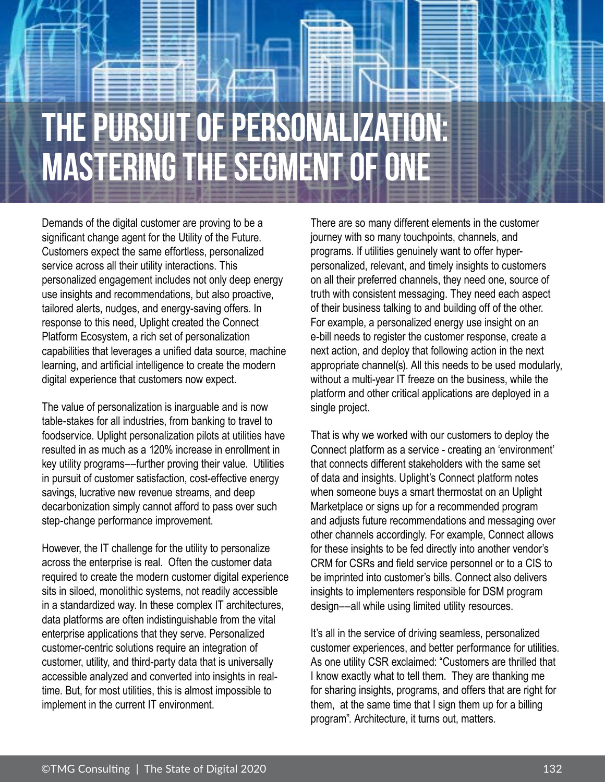# **The Pursuit of Personalization: Mastering the segment of one**

Demands of the digital customer are proving to be a significant change agent for the Utility of the Future. Customers expect the same effortless, personalized service across all their utility interactions. This personalized engagement includes not only deep energy use insights and recommendations, but also proactive, tailored alerts, nudges, and energy-saving offers. In response to this need, Uplight created the Connect Platform Ecosystem, a rich set of personalization capabilities that leverages a unified data source, machine learning, and artificial intelligence to create the modern digital experience that customers now expect.

The value of personalization is inarguable and is now table-stakes for all industries, from banking to travel to foodservice. Uplight personalization pilots at utilities have resulted in as much as a 120% increase in enrollment in key utility programs––further proving their value. Utilities in pursuit of customer satisfaction, cost-effective energy savings, lucrative new revenue streams, and deep decarbonization simply cannot afford to pass over such step-change performance improvement.

However, the IT challenge for the utility to personalize across the enterprise is real. Often the customer data required to create the modern customer digital experience sits in siloed, monolithic systems, not readily accessible in a standardized way. In these complex IT architectures, data platforms are often indistinguishable from the vital enterprise applications that they serve. Personalized customer-centric solutions require an integration of customer, utility, and third-party data that is universally accessible analyzed and converted into insights in realtime. But, for most utilities, this is almost impossible to implement in the current IT environment.

There are so many different elements in the customer journey with so many touchpoints, channels, and programs. If utilities genuinely want to offer hyperpersonalized, relevant, and timely insights to customers on all their preferred channels, they need one, source of truth with consistent messaging. They need each aspect of their business talking to and building off of the other. For example, a personalized energy use insight on an e-bill needs to register the customer response, create a next action, and deploy that following action in the next appropriate channel(s). All this needs to be used modularly, without a multi-year IT freeze on the business, while the platform and other critical applications are deployed in a single project.

That is why we worked with our customers to deploy the Connect platform as a service - creating an 'environment' that connects different stakeholders with the same set of data and insights. Uplight's Connect platform notes when someone buys a smart thermostat on an Uplight Marketplace or signs up for a recommended program and adjusts future recommendations and messaging over other channels accordingly. For example, Connect allows for these insights to be fed directly into another vendor's CRM for CSRs and field service personnel or to a CIS to be imprinted into customer's bills. Connect also delivers insights to implementers responsible for DSM program design––all while using limited utility resources.

It's all in the service of driving seamless, personalized customer experiences, and better performance for utilities. As one utility CSR exclaimed: "Customers are thrilled that I know exactly what to tell them. They are thanking me for sharing insights, programs, and offers that are right for them, at the same time that I sign them up for a billing program". Architecture, it turns out, matters.